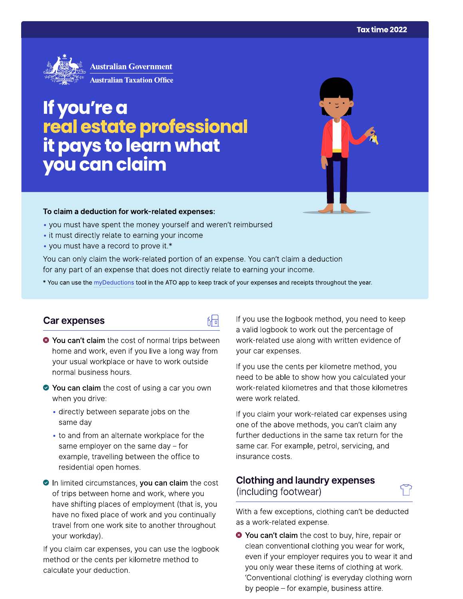

# If you're a real estate professional<br>it pays to learn what<br>you can claim



#### To claim a deduction for work-related expenses:

- you must have spent the money yourself and weren't reimbursed
- it must directly relate to earning your income
- you must have a record to prove it.\*

You can only claim the work-related portion of an expense. You can't claim a deduction for any part of an expense that does not directly relate to earning your income.

\* You can use the myDeductions tool in the ATO app to keep track of your expenses and receipts throughout the year.

品

### Car expenses

- <sup>3</sup> You can't claim the cost of normal trips between home and work, even if you live a long way from your usual workplace or have to work outside normal business hours.
- ◆ You can claim the cost of using a car you own when you drive:
	- · directly between separate jobs on the same day
	- to and from an alternate workplace for the same employer on the same day  $-$  for example, travelling between the office to residential open homes.
- In limited circumstances, you can claim the cost of trips between home and work, where you have shifting places of employment (that is, you have no fixed place of work and you continually travel from one work site to another throughout your workday).

If you claim car expenses, you can use the logbook method or the cents per kilometre method to calculate your deduction.

If you use the logbook method, you need to keep a valid logbook to work out the percentage of work-related use along with written evidence of your car expenses.

If you use the cents per kilometre method, you need to be able to show how you calculated your work-related kilometres and that those kilometres were work related.

If you claim your work-related car expenses using one of the above methods, you can't claim any further deductions in the same tax return for the same car. For example, petrol, servicing, and insurance costs.

# **Clothing and laundry expenses** (including footwear)

With a few exceptions, clothing can't be deducted as a work-related expense.

<sup>●</sup> You can't claim the cost to buy, hire, repair or clean conventional clothing you wear for work, even if your employer requires you to wear it and you only wear these items of clothing at work. 'Conventional clothing' is everyday clothing worn by people – for example, business attire.